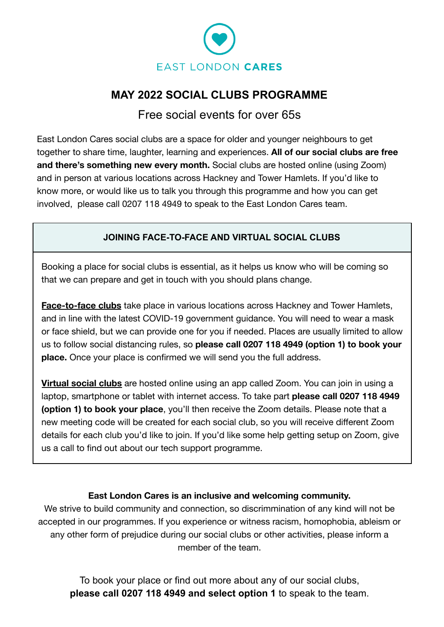

# **MAY 2022 SOCIAL CLUBS PROGRAMME**

Free social events for over 65s

East London Cares social clubs are a space for older and younger neighbours to get together to share time, laughter, learning and experiences. **All of our social clubs are free and there's something new every month.** Social clubs are hosted online (using Zoom) and in person at various locations across Hackney and Tower Hamlets. If you'd like to know more, or would like us to talk you through this programme and how you can get involved, please call 0207 118 4949 to speak to the East London Cares team.

#### **JOINING FACE-TO-FACE AND VIRTUAL SOCIAL CLUBS**

Booking a place for social clubs is essential, as it helps us know who will be coming so that we can prepare and get in touch with you should plans change.

**Face-to-face clubs** take place in various locations across Hackney and Tower Hamlets, and in line with the latest COVID-19 government guidance. You will need to wear a mask or face shield, but we can provide one for you if needed. Places are usually limited to allow us to follow social distancing rules, so **please call 0207 118 4949 (option 1) to book your place.** Once your place is confirmed we will send you the full address.

**Virtual social clubs** are hosted online using an app called Zoom. You can join in using a laptop, smartphone or tablet with internet access. To take part **please call 0207 118 4949 (option 1) to book your place**, you'll then receive the Zoom details. Please note that a new meeting code will be created for each social club, so you will receive different Zoom details for each club you'd like to join. If you'd like some help getting setup on Zoom, give us a call to find out about our tech support programme.

#### **East London Cares is an inclusive and welcoming community.**

We strive to build community and connection, so discrimmination of any kind will not be accepted in our programmes. If you experience or witness racism, homophobia, ableism or any other form of prejudice during our social clubs or other activities, please inform a member of the team.

To book your place or find out more about any of our social clubs, **please call 0207 118 4949 and select option 1** to speak to the team.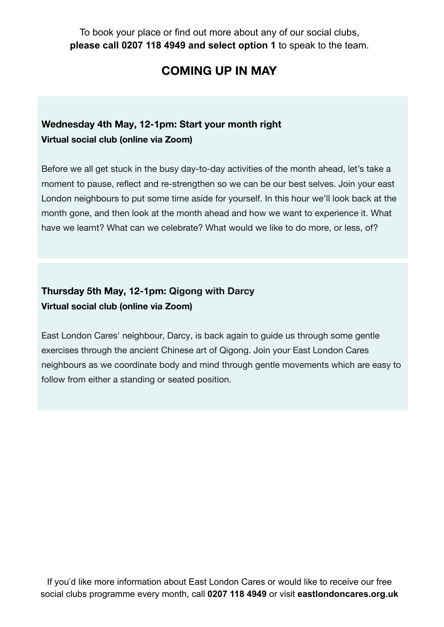# **COMING UP IN MAY**

#### **Wednesday 4th May, 12-1pm: Start your month right Virtual social club (online via Zoom)**

Before we all get stuck in the busy day-to-day activities of the month ahead, let's take a moment to pause, reflect and re-strengthen so we can be our best selves. Join your east London neighbours to put some time aside for yourself. In this hour we'll look back at the month gone, and then look at the month ahead and how we want to experience it. What have we learnt? What can we celebrate? What would we like to do more, or less, of?

**Thursday 5th May, 12-1pm: Qigong with Darcy Virtual social club (online via Zoom)**

East London Cares' neighbour, Darcy, is back again to guide us through some gentle exercises through the ancient Chinese art of Qigong. Join your East London Cares neighbours as we coordinate body and mind through gentle movements which are easy to follow from either a standing or seated position.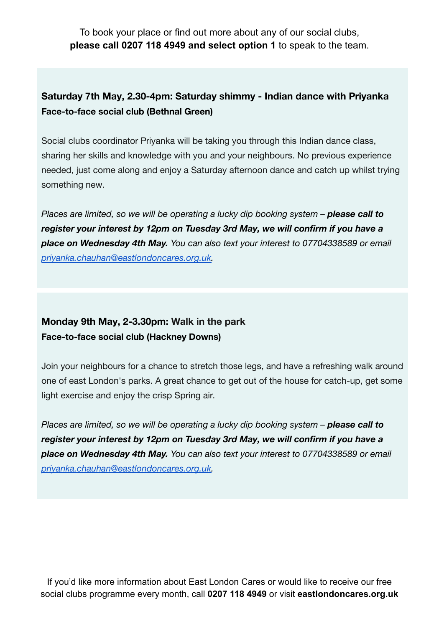#### **Saturday 7th May, 2.30-4pm: Saturday shimmy - Indian dance with Priyanka Face-to-face social club (Bethnal Green)**

Social clubs coordinator Priyanka will be taking you through this Indian dance class, sharing her skills and knowledge with you and your neighbours. No previous experience needed, just come along and enjoy a Saturday afternoon dance and catch up whilst trying something new.

*Places are limited, so we will be operating a lucky dip booking system – please call to register your interest by 12pm on Tuesday 3rd May, we will confirm if you have a place on Wednesday 4th May. You can also text your interest to 07704338589 or email [priyanka.chauhan@eastlondoncares.org.uk.](mailto:priyanka.chauhan@eastlondoncares.org.uk)*

#### **Monday 9th May, 2-3.30pm: Walk in the park Face-to-face social club (Hackney Downs)**

Join your neighbours for a chance to stretch those legs, and have a refreshing walk around one of east London's parks. A great chance to get out of the house for catch-up, get some light exercise and enjoy the crisp Spring air.

*Places are limited, so we will be operating a lucky dip booking system – please call to register your interest by 12pm on Tuesday 3rd May, we will confirm if you have a place on Wednesday 4th May. You can also text your interest to 07704338589 or email [priyanka.chauhan@eastlondoncares.org.uk.](mailto:priyanka.chauhan@eastlondoncares.org.uk)*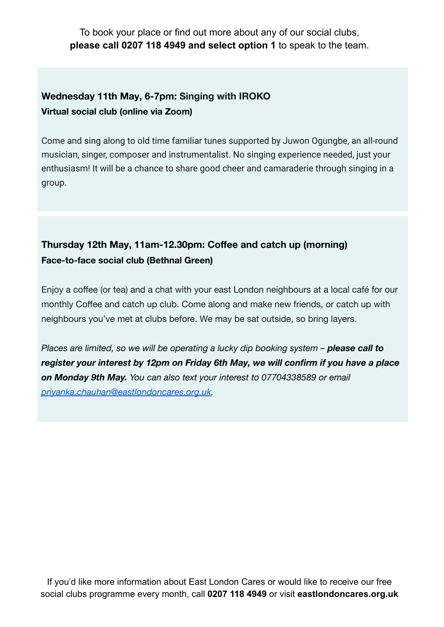#### **Wednesday 11th May, 6-7pm: Singing with IROKO Virtual social club (online via Zoom)**

Come and sing along to old time familiar tunes supported by Juwon Ogungbe, an all-round musician, singer, composer and instrumentalist. No singing experience needed, just your enthusiasm! It will be a chance to share good cheer and camaraderie through singing in a group.

### **Thursday 12th May, 11am-12.30pm: Coffee and catch up (morning) Face-to-face social club (Bethnal Green)**

Enjoy a coffee (or tea) and a chat with your east London neighbours at a local café for our monthly Coffee and catch up club. Come along and make new friends, or catch up with neighbours you've met at clubs before. We may be sat outside, so bring layers.

*Places are limited, so we will be operating a lucky dip booking system – please call to register your interest by 12pm on Friday 6th May, we will confirm if you have a place on Monday 9th May. You can also text your interest to 07704338589 or email [priyanka.chauhan@eastlondoncares.org.uk.](mailto:priyanka.chauhan@eastlondoncares.org.uk)*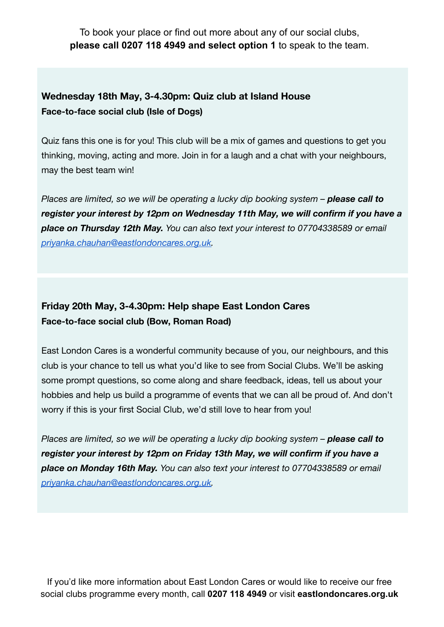#### **Wednesday 18th May, 3-4.30pm: Quiz club at Island House Face-to-face social club (Isle of Dogs)**

Quiz fans this one is for you! This club will be a mix of games and questions to get you thinking, moving, acting and more. Join in for a laugh and a chat with your neighbours, may the best team win!

*Places are limited, so we will be operating a lucky dip booking system – please call to register your interest by 12pm on Wednesday 11th May, we will confirm if you have a place on Thursday 12th May. You can also text your interest to 07704338589 or email [priyanka.chauhan@eastlondoncares.org.uk.](mailto:priyanka.chauhan@eastlondoncares.org.uk)*

### **Friday 20th May, 3-4.30pm: Help shape East London Cares Face-to-face social club (Bow, Roman Road)**

East London Cares is a wonderful community because of you, our neighbours, and this club is your chance to tell us what you'd like to see from Social Clubs. We'll be asking some prompt questions, so come along and share feedback, ideas, tell us about your hobbies and help us build a programme of events that we can all be proud of. And don't worry if this is your first Social Club, we'd still love to hear from you!

*Places are limited, so we will be operating a lucky dip booking system – please call to register your interest by 12pm on Friday 13th May, we will confirm if you have a place on Monday 16th May. You can also text your interest to 07704338589 or email [priyanka.chauhan@eastlondoncares.org.uk.](mailto:priyanka.chauhan@eastlondoncares.org.uk)*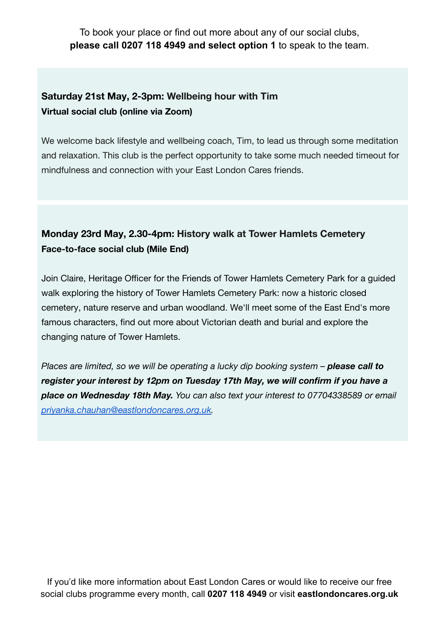#### **Saturday 21st May, 2-3pm: Wellbeing hour with Tim Virtual social club (online via Zoom)**

We welcome back lifestyle and wellbeing coach, Tim, to lead us through some meditation and relaxation. This club is the perfect opportunity to take some much needed timeout for mindfulness and connection with your East London Cares friends.

### **Monday 23rd May, 2.30-4pm: History walk at Tower Hamlets Cemetery Face-to-face social club (Mile End)**

Join Claire, Heritage Officer for the Friends of Tower Hamlets Cemetery Park for a guided walk exploring the history of Tower Hamlets Cemetery Park: now a historic closed cemetery, nature reserve and urban woodland. We'll meet some of the East End's more famous characters, find out more about Victorian death and burial and explore the changing nature of Tower Hamlets.

*Places are limited, so we will be operating a lucky dip booking system – please call to register your interest by 12pm on Tuesday 17th May, we will confirm if you have a place on Wednesday 18th May. You can also text your interest to 07704338589 or email [priyanka.chauhan@eastlondoncares.org.uk.](mailto:priyanka.chauhan@eastlondoncares.org.uk)*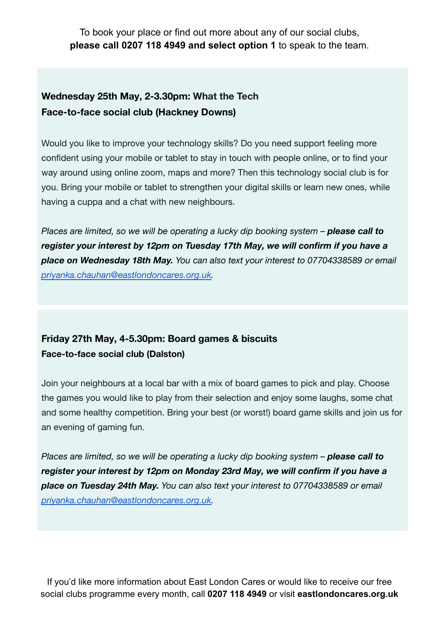### **Wednesday 25th May, 2-3.30pm: What the Tech Face-to-face social club (Hackney Downs)**

Would you like to improve your technology skills? Do you need support feeling more confident using your mobile or tablet to stay in touch with people online, or to find your way around using online zoom, maps and more? Then this technology social club is for you. Bring your mobile or tablet to strengthen your digital skills or learn new ones, while having a cuppa and a chat with new neighbours.

*Places are limited, so we will be operating a lucky dip booking system – please call to register your interest by 12pm on Tuesday 17th May, we will confirm if you have a place on Wednesday 18th May. You can also text your interest to 07704338589 or email [priyanka.chauhan@eastlondoncares.org.uk.](mailto:priyanka.chauhan@eastlondoncares.org.uk)*

## **Friday 27th May, 4-5.30pm: Board games & biscuits Face-to-face social club (Dalston)**

Join your neighbours at a local bar with a mix of board games to pick and play. Choose the games you would like to play from their selection and enjoy some laughs, some chat and some healthy competition. Bring your best (or worst!) board game skills and join us for an evening of gaming fun.

*Places are limited, so we will be operating a lucky dip booking system – please call to register your interest by 12pm on Monday 23rd May, we will confirm if you have a place on Tuesday 24th May. You can also text your interest to 07704338589 or email [priyanka.chauhan@eastlondoncares.org.uk.](mailto:priyanka.chauhan@eastlondoncares.org.uk)*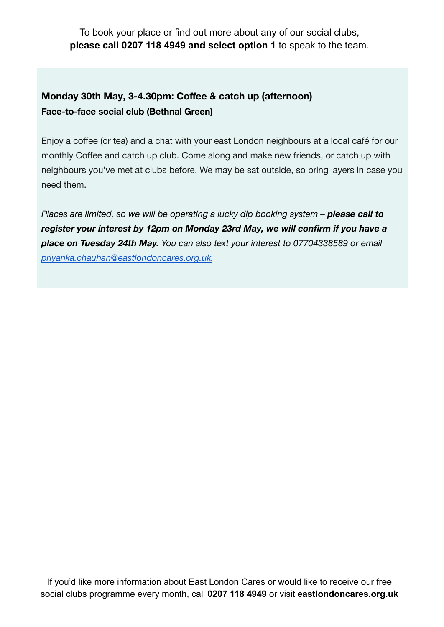#### **Monday 30th May, 3-4.30pm: Coffee & catch up (afternoon) Face-to-face social club (Bethnal Green)**

Enjoy a coffee (or tea) and a chat with your east London neighbours at a local café for our monthly Coffee and catch up club. Come along and make new friends, or catch up with neighbours you've met at clubs before. We may be sat outside, so bring layers in case you need them.

*Places are limited, so we will be operating a lucky dip booking system – please call to register your interest by 12pm on Monday 23rd May, we will confirm if you have a place on Tuesday 24th May. You can also text your interest to 07704338589 or email [priyanka.chauhan@eastlondoncares.org.uk.](mailto:priyanka.chauhan@eastlondoncares.org.uk)*